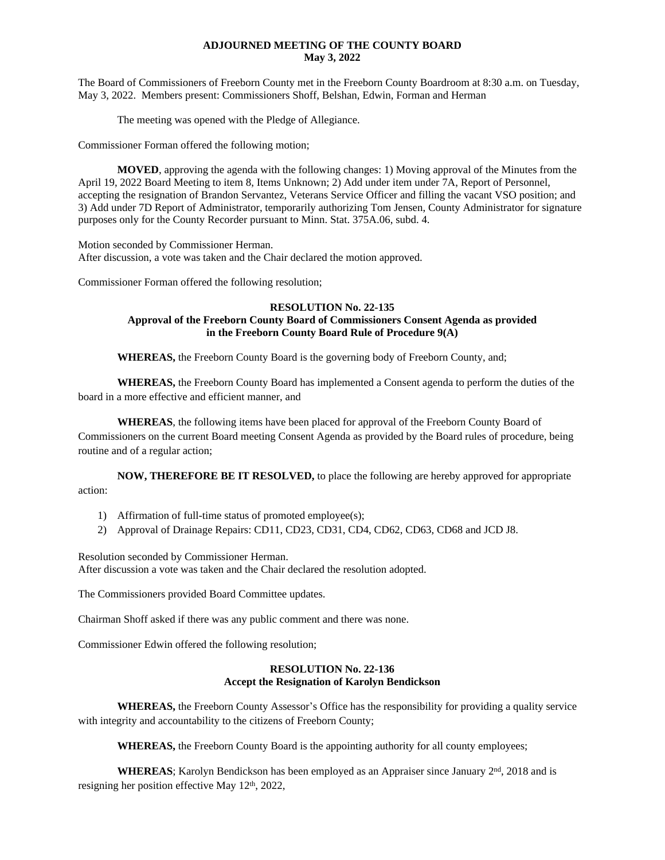## **ADJOURNED MEETING OF THE COUNTY BOARD May 3, 2022**

The Board of Commissioners of Freeborn County met in the Freeborn County Boardroom at 8:30 a.m. on Tuesday, May 3, 2022. Members present: Commissioners Shoff, Belshan, Edwin, Forman and Herman

The meeting was opened with the Pledge of Allegiance.

Commissioner Forman offered the following motion;

**MOVED**, approving the agenda with the following changes: 1) Moving approval of the Minutes from the April 19, 2022 Board Meeting to item 8, Items Unknown; 2) Add under item under 7A, Report of Personnel, accepting the resignation of Brandon Servantez, Veterans Service Officer and filling the vacant VSO position; and 3) Add under 7D Report of Administrator, temporarily authorizing Tom Jensen, County Administrator for signature purposes only for the County Recorder pursuant to Minn. Stat. 375A.06, subd. 4.

Motion seconded by Commissioner Herman. After discussion, a vote was taken and the Chair declared the motion approved.

Commissioner Forman offered the following resolution;

# **RESOLUTION No. 22-135 Approval of the Freeborn County Board of Commissioners Consent Agenda as provided in the Freeborn County Board Rule of Procedure 9(A)**

**WHEREAS,** the Freeborn County Board is the governing body of Freeborn County, and;

**WHEREAS,** the Freeborn County Board has implemented a Consent agenda to perform the duties of the board in a more effective and efficient manner, and

**WHEREAS**, the following items have been placed for approval of the Freeborn County Board of Commissioners on the current Board meeting Consent Agenda as provided by the Board rules of procedure, being routine and of a regular action;

**NOW, THEREFORE BE IT RESOLVED,** to place the following are hereby approved for appropriate action:

- 1) Affirmation of full-time status of promoted employee(s);
- 2) Approval of Drainage Repairs: CD11, CD23, CD31, CD4, CD62, CD63, CD68 and JCD J8.

Resolution seconded by Commissioner Herman. After discussion a vote was taken and the Chair declared the resolution adopted.

The Commissioners provided Board Committee updates.

Chairman Shoff asked if there was any public comment and there was none.

Commissioner Edwin offered the following resolution;

# **RESOLUTION No. 22-136 Accept the Resignation of Karolyn Bendickson**

**WHEREAS,** the Freeborn County Assessor's Office has the responsibility for providing a quality service with integrity and accountability to the citizens of Freeborn County;

**WHEREAS,** the Freeborn County Board is the appointing authority for all county employees;

WHEREAS; Karolyn Bendickson has been employed as an Appraiser since January 2<sup>nd</sup>, 2018 and is resigning her position effective May  $12<sup>th</sup>$ , 2022,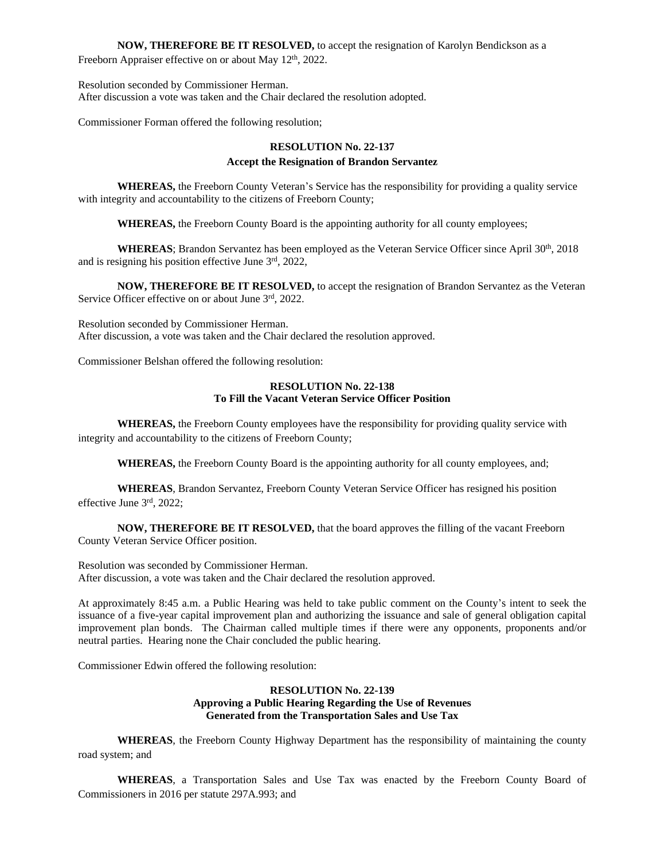**NOW, THEREFORE BE IT RESOLVED,** to accept the resignation of Karolyn Bendickson as a Freeborn Appraiser effective on or about May 12<sup>th</sup>, 2022.

Resolution seconded by Commissioner Herman. After discussion a vote was taken and the Chair declared the resolution adopted.

Commissioner Forman offered the following resolution;

# **RESOLUTION No. 22-137 Accept the Resignation of Brandon Servantez**

**WHEREAS,** the Freeborn County Veteran's Service has the responsibility for providing a quality service with integrity and accountability to the citizens of Freeborn County;

**WHEREAS,** the Freeborn County Board is the appointing authority for all county employees;

**WHEREAS**; Brandon Servantez has been employed as the Veteran Service Officer since April 30<sup>th</sup>, 2018 and is resigning his position effective June 3rd, 2022,

**NOW, THEREFORE BE IT RESOLVED,** to accept the resignation of Brandon Servantez as the Veteran Service Officer effective on or about June  $3<sup>rd</sup>$ , 2022.

Resolution seconded by Commissioner Herman. After discussion, a vote was taken and the Chair declared the resolution approved.

Commissioner Belshan offered the following resolution:

#### **RESOLUTION No. 22-138 To Fill the Vacant Veteran Service Officer Position**

**WHEREAS,** the Freeborn County employees have the responsibility for providing quality service with integrity and accountability to the citizens of Freeborn County;

**WHEREAS,** the Freeborn County Board is the appointing authority for all county employees, and;

**WHEREAS**, Brandon Servantez, Freeborn County Veteran Service Officer has resigned his position effective June 3rd, 2022;

**NOW, THEREFORE BE IT RESOLVED,** that the board approves the filling of the vacant Freeborn County Veteran Service Officer position.

Resolution was seconded by Commissioner Herman. After discussion, a vote was taken and the Chair declared the resolution approved.

At approximately 8:45 a.m. a Public Hearing was held to take public comment on the County's intent to seek the issuance of a five-year capital improvement plan and authorizing the issuance and sale of general obligation capital improvement plan bonds. The Chairman called multiple times if there were any opponents, proponents and/or neutral parties. Hearing none the Chair concluded the public hearing.

Commissioner Edwin offered the following resolution:

### **RESOLUTION No. 22-139 Approving a Public Hearing Regarding the Use of Revenues Generated from the Transportation Sales and Use Tax**

**WHEREAS**, the Freeborn County Highway Department has the responsibility of maintaining the county road system; and

**WHEREAS**, a Transportation Sales and Use Tax was enacted by the Freeborn County Board of Commissioners in 2016 per statute 297A.993; and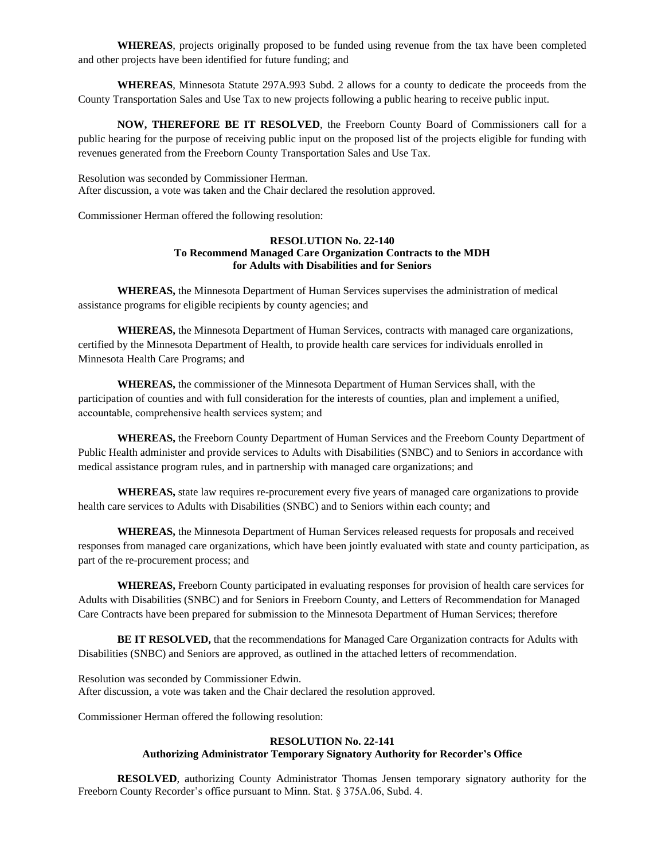**WHEREAS**, projects originally proposed to be funded using revenue from the tax have been completed and other projects have been identified for future funding; and

**WHEREAS**, Minnesota Statute 297A.993 Subd. 2 allows for a county to dedicate the proceeds from the County Transportation Sales and Use Tax to new projects following a public hearing to receive public input.

**NOW, THEREFORE BE IT RESOLVED**, the Freeborn County Board of Commissioners call for a public hearing for the purpose of receiving public input on the proposed list of the projects eligible for funding with revenues generated from the Freeborn County Transportation Sales and Use Tax.

Resolution was seconded by Commissioner Herman. After discussion, a vote was taken and the Chair declared the resolution approved.

Commissioner Herman offered the following resolution:

### **RESOLUTION No. 22-140 To Recommend Managed Care Organization Contracts to the MDH for Adults with Disabilities and for Seniors**

**WHEREAS,** the Minnesota Department of Human Services supervises the administration of medical assistance programs for eligible recipients by county agencies; and

**WHEREAS,** the Minnesota Department of Human Services, contracts with managed care organizations, certified by the Minnesota Department of Health, to provide health care services for individuals enrolled in Minnesota Health Care Programs; and

**WHEREAS,** the commissioner of the Minnesota Department of Human Services shall, with the participation of counties and with full consideration for the interests of counties, plan and implement a unified, accountable, comprehensive health services system; and

**WHEREAS,** the Freeborn County Department of Human Services and the Freeborn County Department of Public Health administer and provide services to Adults with Disabilities (SNBC) and to Seniors in accordance with medical assistance program rules, and in partnership with managed care organizations; and

**WHEREAS,** state law requires re-procurement every five years of managed care organizations to provide health care services to Adults with Disabilities (SNBC) and to Seniors within each county; and

**WHEREAS,** the Minnesota Department of Human Services released requests for proposals and received responses from managed care organizations, which have been jointly evaluated with state and county participation, as part of the re-procurement process; and

**WHEREAS,** Freeborn County participated in evaluating responses for provision of health care services for Adults with Disabilities (SNBC) and for Seniors in Freeborn County, and Letters of Recommendation for Managed Care Contracts have been prepared for submission to the Minnesota Department of Human Services; therefore

**BE IT RESOLVED,** that the recommendations for Managed Care Organization contracts for Adults with Disabilities (SNBC) and Seniors are approved, as outlined in the attached letters of recommendation.

Resolution was seconded by Commissioner Edwin. After discussion, a vote was taken and the Chair declared the resolution approved.

Commissioner Herman offered the following resolution:

# **RESOLUTION No. 22-141 Authorizing Administrator Temporary Signatory Authority for Recorder's Office**

**RESOLVED**, authorizing County Administrator Thomas Jensen temporary signatory authority for the Freeborn County Recorder's office pursuant to Minn. Stat. § 375A.06, Subd. 4.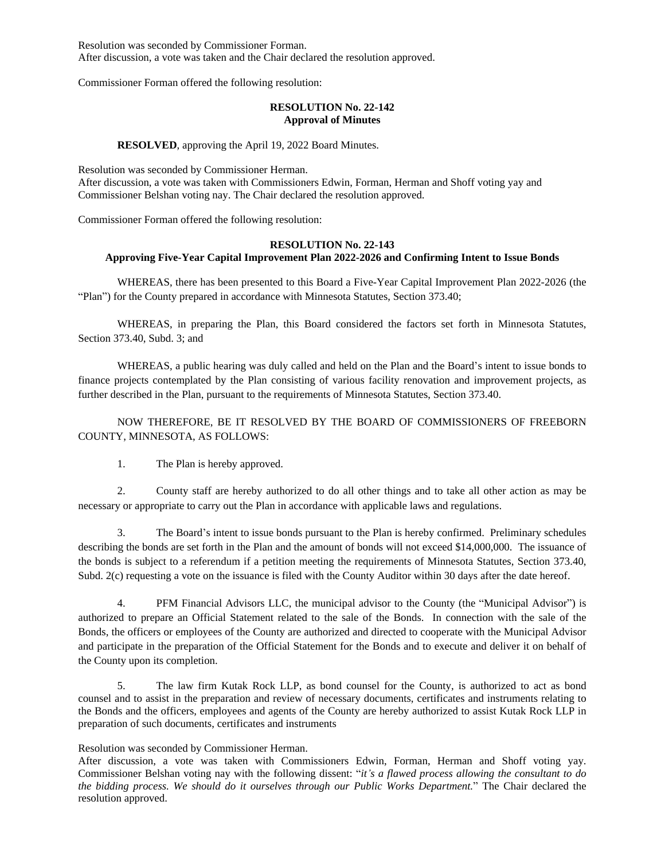Resolution was seconded by Commissioner Forman. After discussion, a vote was taken and the Chair declared the resolution approved.

Commissioner Forman offered the following resolution:

#### **RESOLUTION No. 22-142 Approval of Minutes**

#### **RESOLVED**, approving the April 19, 2022 Board Minutes.

Resolution was seconded by Commissioner Herman. After discussion, a vote was taken with Commissioners Edwin, Forman, Herman and Shoff voting yay and Commissioner Belshan voting nay. The Chair declared the resolution approved.

Commissioner Forman offered the following resolution:

# **RESOLUTION No. 22-143**

# **Approving Five-Year Capital Improvement Plan 2022-2026 and Confirming Intent to Issue Bonds**

WHEREAS, there has been presented to this Board a Five-Year Capital Improvement Plan 2022-2026 (the "Plan") for the County prepared in accordance with Minnesota Statutes, Section 373.40;

WHEREAS, in preparing the Plan, this Board considered the factors set forth in Minnesota Statutes, Section 373.40, Subd. 3; and

WHEREAS, a public hearing was duly called and held on the Plan and the Board's intent to issue bonds to finance projects contemplated by the Plan consisting of various facility renovation and improvement projects, as further described in the Plan, pursuant to the requirements of Minnesota Statutes, Section 373.40.

NOW THEREFORE, BE IT RESOLVED BY THE BOARD OF COMMISSIONERS OF FREEBORN COUNTY, MINNESOTA, AS FOLLOWS:

1. The Plan is hereby approved.

2. County staff are hereby authorized to do all other things and to take all other action as may be necessary or appropriate to carry out the Plan in accordance with applicable laws and regulations.

3. The Board's intent to issue bonds pursuant to the Plan is hereby confirmed. Preliminary schedules describing the bonds are set forth in the Plan and the amount of bonds will not exceed \$14,000,000. The issuance of the bonds is subject to a referendum if a petition meeting the requirements of Minnesota Statutes, Section 373.40, Subd. 2(c) requesting a vote on the issuance is filed with the County Auditor within 30 days after the date hereof.

4. PFM Financial Advisors LLC, the municipal advisor to the County (the "Municipal Advisor") is authorized to prepare an Official Statement related to the sale of the Bonds. In connection with the sale of the Bonds, the officers or employees of the County are authorized and directed to cooperate with the Municipal Advisor and participate in the preparation of the Official Statement for the Bonds and to execute and deliver it on behalf of the County upon its completion.

5. The law firm Kutak Rock LLP, as bond counsel for the County, is authorized to act as bond counsel and to assist in the preparation and review of necessary documents, certificates and instruments relating to the Bonds and the officers, employees and agents of the County are hereby authorized to assist Kutak Rock LLP in preparation of such documents, certificates and instruments

#### Resolution was seconded by Commissioner Herman.

After discussion, a vote was taken with Commissioners Edwin, Forman, Herman and Shoff voting yay. Commissioner Belshan voting nay with the following dissent: "*it's a flawed process allowing the consultant to do the bidding process. We should do it ourselves through our Public Works Department.*" The Chair declared the resolution approved.